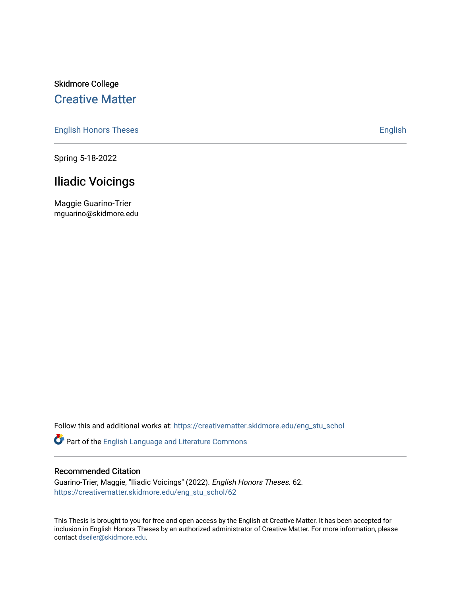# Skidmore College [Creative Matter](https://creativematter.skidmore.edu/)

[English Honors Theses](https://creativematter.skidmore.edu/eng_stu_schol) **English** English

Spring 5-18-2022

# Iliadic Voicings

Maggie Guarino-Trier mguarino@skidmore.edu

Follow this and additional works at: [https://creativematter.skidmore.edu/eng\\_stu\\_schol](https://creativematter.skidmore.edu/eng_stu_schol?utm_source=creativematter.skidmore.edu%2Feng_stu_schol%2F62&utm_medium=PDF&utm_campaign=PDFCoverPages) 

Part of the [English Language and Literature Commons](https://network.bepress.com/hgg/discipline/455?utm_source=creativematter.skidmore.edu%2Feng_stu_schol%2F62&utm_medium=PDF&utm_campaign=PDFCoverPages)

## Recommended Citation

Guarino-Trier, Maggie, "Iliadic Voicings" (2022). English Honors Theses. 62. [https://creativematter.skidmore.edu/eng\\_stu\\_schol/62](https://creativematter.skidmore.edu/eng_stu_schol/62?utm_source=creativematter.skidmore.edu%2Feng_stu_schol%2F62&utm_medium=PDF&utm_campaign=PDFCoverPages)

This Thesis is brought to you for free and open access by the English at Creative Matter. It has been accepted for inclusion in English Honors Theses by an authorized administrator of Creative Matter. For more information, please contact [dseiler@skidmore.edu.](mailto:dseiler@skidmore.edu)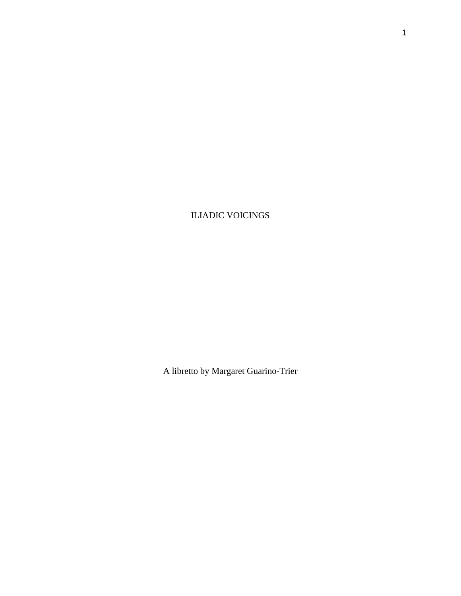ILIADIC VOICINGS

A libretto by Margaret Guarino-Trier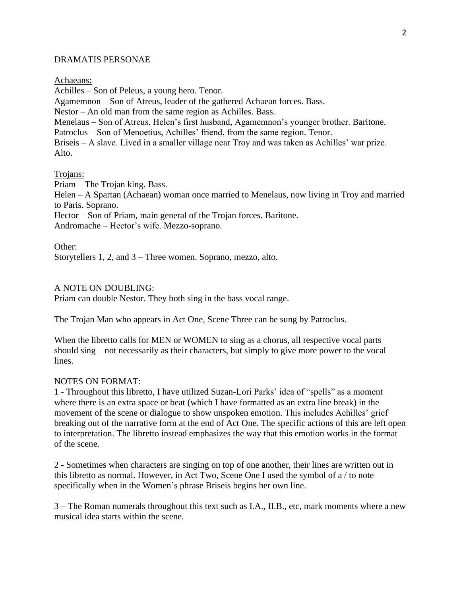## DRAMATIS PERSONAE

Achaeans:

Achilles – Son of Peleus, a young hero. Tenor. Agamemnon – Son of Atreus, leader of the gathered Achaean forces. Bass. Nestor – An old man from the same region as Achilles. Bass. Menelaus – Son of Atreus, Helen's first husband, Agamemnon's younger brother. Baritone. Patroclus – Son of Menoetius, Achilles' friend, from the same region. Tenor. Briseis – A slave. Lived in a smaller village near Troy and was taken as Achilles' war prize. Alto.

## Trojans:

Priam – The Trojan king. Bass.

Helen – A Spartan (Achaean) woman once married to Menelaus, now living in Troy and married to Paris. Soprano.

Hector – Son of Priam, main general of the Trojan forces. Baritone.

Andromache – Hector's wife. Mezzo-soprano.

Other: Storytellers 1, 2, and 3 – Three women. Soprano, mezzo, alto.

## A NOTE ON DOUBLING:

Priam can double Nestor. They both sing in the bass vocal range.

The Trojan Man who appears in Act One, Scene Three can be sung by Patroclus.

When the libretto calls for MEN or WOMEN to sing as a chorus, all respective vocal parts should sing – not necessarily as their characters, but simply to give more power to the vocal lines.

## NOTES ON FORMAT:

1 - Throughout this libretto, I have utilized Suzan-Lori Parks' idea of "spells" as a moment where there is an extra space or beat (which I have formatted as an extra line break) in the movement of the scene or dialogue to show unspoken emotion. This includes Achilles' grief breaking out of the narrative form at the end of Act One. The specific actions of this are left open to interpretation. The libretto instead emphasizes the way that this emotion works in the format of the scene.

2 - Sometimes when characters are singing on top of one another, their lines are written out in this libretto as normal. However, in Act Two, Scene One I used the symbol of a / to note specifically when in the Women's phrase Briseis begins her own line.

3 – The Roman numerals throughout this text such as I.A., II.B., etc, mark moments where a new musical idea starts within the scene.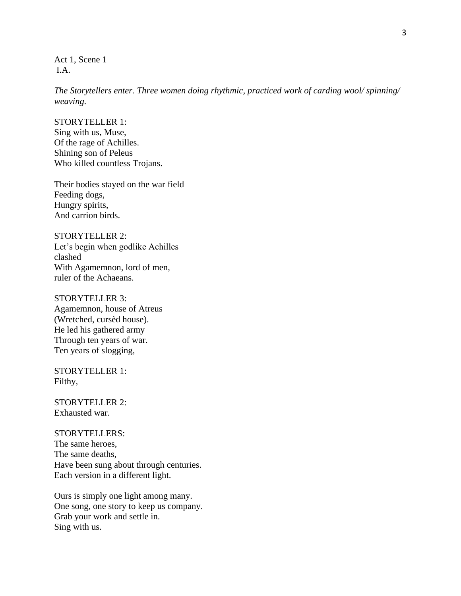Act 1, Scene 1 I.A.

*The Storytellers enter. Three women doing rhythmic, practiced work of carding wool/ spinning/ weaving.*

### STORYTELLER 1:

Sing with us, Muse, Of the rage of Achilles. Shining son of Peleus Who killed countless Trojans.

Their bodies stayed on the war field Feeding dogs, Hungry spirits, And carrion birds.

# STORYTELLER 2: Let's begin when godlike Achilles clashed With Agamemnon, lord of men, ruler of the Achaeans.

# STORYTELLER 3: Agamemnon, house of Atreus (Wretched, cursèd house). He led his gathered army Through ten years of war. Ten years of slogging,

STORYTELLER 1: Filthy,

STORYTELLER 2: Exhausted war.

#### STORYTELLERS:

The same heroes, The same deaths, Have been sung about through centuries. Each version in a different light.

Ours is simply one light among many. One song, one story to keep us company. Grab your work and settle in. Sing with us.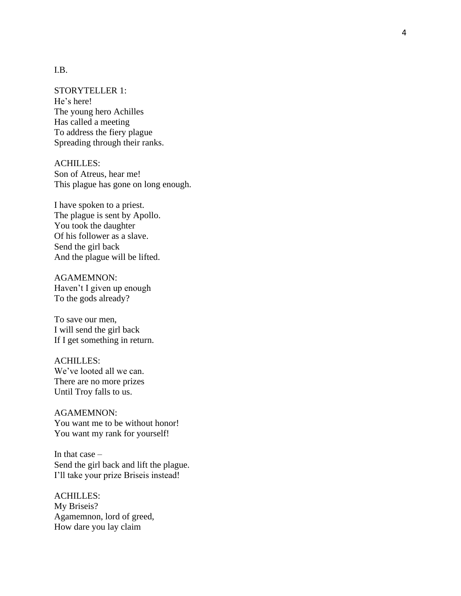## I.B.

#### STORYTELLER 1:

He's here! The young hero Achilles Has called a meeting To address the fiery plague Spreading through their ranks.

ACHILLES: Son of Atreus, hear me! This plague has gone on long enough.

I have spoken to a priest. The plague is sent by Apollo . You took the daughter Of his follower as a slave. Send the girl back And the plague will be lifted.

AGAMEMNON: Haven't I given up enough To the gods already?

To save our men , I will send the girl back If I get something in return.

## ACHILLES:

We've looted all we can. There are no more prizes Until Troy falls to us.

AGAMEMNON: You want me to be without honor! You want my rank for yourself!

In that case – Send the girl back and lift the plague. I'll take your prize Briseis instead!

ACHILLES: My Briseis? Agamemnon, lord of greed, How dare you lay claim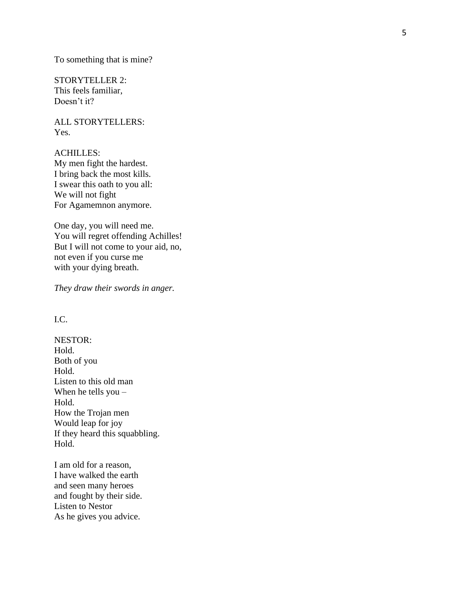To something that is mine?

STORYTELLER 2: This feels familiar, Doesn't it?

ALL STORYTELLERS: Yes.

ACHILLES: My men fight the hardest. I bring back the most kills. I swear this oath to you all: We will not fight For Agamemnon anymore.

One day, you will need me. You will regret offending Achilles! But I will not come to your aid, no, not even if you curse me with your dying breath.

*They draw their swords in anger.*

# I.C.

NESTOR: Hold. Both of you Hold. Listen to this old man When he tells you – Hold. How the Trojan men Would leap for joy If they heard this squabbling. Hold.

I am old for a reason, I have walked the earth and seen many heroes and fought by their side. Listen to Nestor As he gives you advice.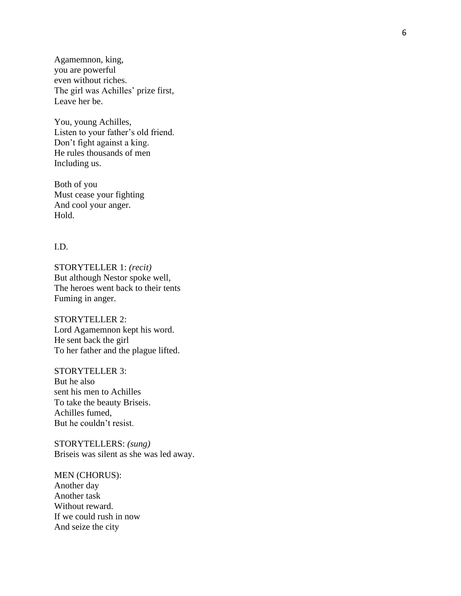Agamemnon, king, you are powerful even without riches. The girl was Achilles' prize first, Leave her be.

You, young Achilles, Listen to your father's old friend. Don't fight against a king. He rules thousands of men Including us.

Both of you Must cease your fighting And cool your anger. Hold.

#### I.D.

STORYTELLER 1: *(recit)*  But although Nestor spoke well, The heroes went back to their tents Fuming in anger.

STORYTELLER 2: Lord Agamemnon kept his word. He sent back the girl To her father and the plague lifted.

STORYTELLER 3: But he also sent his men to Achilles To take the beauty Briseis. Achilles fumed, But he couldn't resist.

STORYTELLERS: *(sung)*  Briseis was silent as she was led away.

MEN (CHORUS): Another day Another task Without reward . If we could rush in now And seize the city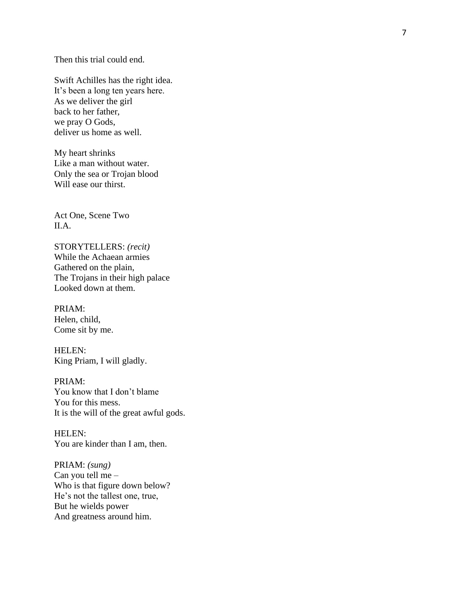Then this trial could end.

Swift Achilles has the right idea . It's been a long ten years here. As we deliver the girl back to her father, we pray O Gods, deliver us home as well.

My heart shrinks Like a man without water. Only the sea or Trojan blood Will ease our thirst.

Act One, Scene Two II.A.

STORYTELLERS: *(recit)*  While the Achaean armies Gathered on the plain, The Trojans in their high palace Looked down at them.

PRIAM: Helen, child, Come sit by me.

HELEN: King Priam, I will gladly.

PRIAM: You know that I don't blame You for this mess. It is the will of the great awful gods.

HELEN: You are kinder than I am, then.

PRIAM: *(sung)*  Can you tell me – Who is that figure down below? He's not the tallest one, true, But he wields power And greatness around him.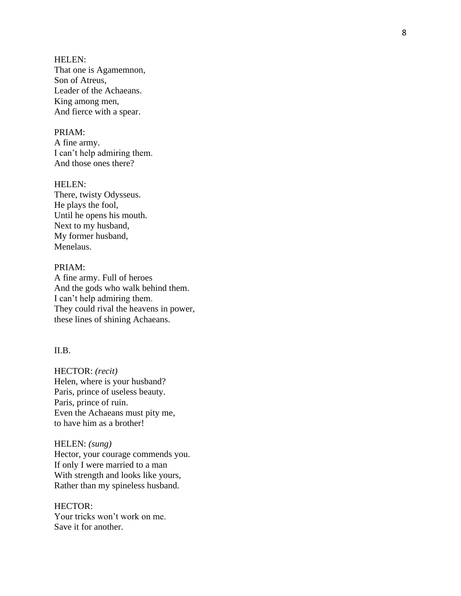HELEN: That one is Agamemnon, Son of Atreus, Leader of the Achaeans. King among men, And fierce with a spear.

## PRIAM:

A fine army. I can't help admiring them. And those ones there?

HELEN: There, twisty Odysseus. He plays the fool, Until he opens his mouth. Next to my husband, My former husband, Menelaus.

#### PRIAM:

A fine army. Full of heroes And the gods who walk behind them. I can't help admiring them. They could rival the heavens in power, these lines of shining Achaeans.

#### II.B.

HECTOR: *(recit)*  Helen, where is your husband? Paris, prince of useless beauty. Paris, prince of ruin. Even the Achaeans must pity me, to have him as a brother!

HELEN: *(sung)*  Hector, your courage commends you. If only I were married to a man With strength and looks like yours, Rather than my spineless husband.

HECTOR: Your tricks won't work on me. Save it for another.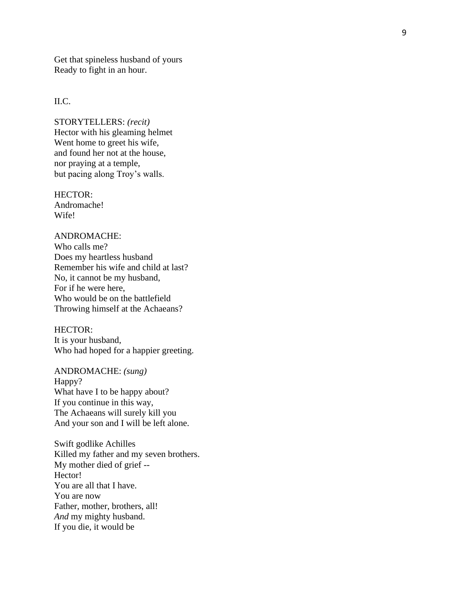Get that spineless husband of yours Ready to fight in an hour.

## II.C.

STORYTELLERS: *(recit)*  Hector with his gleaming helmet Went home to greet his wife, and found her not at the house , nor praying at a temple, but pacing along Troy's walls.

HECTOR: Andromache! Wife!

# ANDROMACHE:

Who calls me? Does my heartless husband Remember his wife and child at last? No, it cannot be my husband, For if he were here, Who would be on the battlefield Throwing himself at the Achaeans?

## HECTOR:

It is your husband, Who had hoped for a happier greeting.

ANDROMACHE: *(sung)*  Happy? What have I to be happy about? If you continue in this way, The Achaeans will surely kill you And your son and I will be left alone.

Swift godlike Achilles Killed my father and my seven brothers. My mother died of grief -- Hector! You are all that I have. You are now Father, mother, brothers, all! *And* my mighty husband. If you die, it would be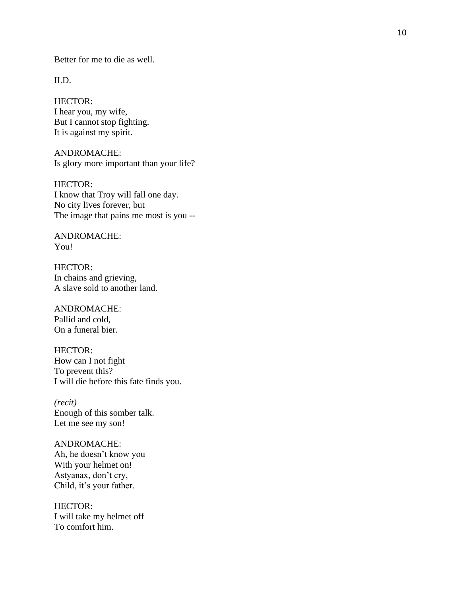Better for me to die as well.

II.D.

HECTOR: I hear you, my wife, But I cannot stop fighting. It is against my spirit.

ANDROMACHE: Is glory more important than your life?

HECTOR: I know that Troy will fall one day. No city lives forever, but The image that pains me most is you --

ANDROMACHE: You!

HECTOR: In chains and grieving, A slave sold to another land.

ANDROMACHE: Pallid and cold, On a funeral bier.

HECTOR: How can I not fight To prevent this? I will die before this fate finds you.

*(recit)*  Enough of this somber talk. Let me see my son!

ANDROMACHE: Ah, he doesn't know you With your helmet on! Astyanax, don't cry, Child, it's your father.

HECTOR: I will take my helmet off To comfort him.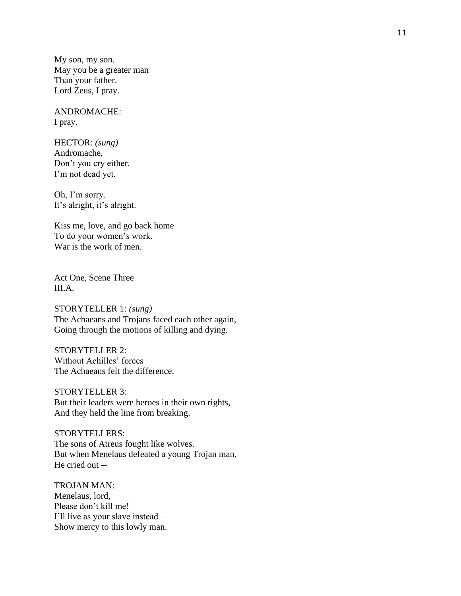My son, my son. May you be a greater man Than your father. Lord Zeus, I pray.

ANDROMACHE: I pray.

HECTOR: *(sung)* Andromache, Don't you cry either. I'm not dead yet.

Oh, I'm sorry. It's alright, it's alright.

Kiss me, love, and go back home To do your women's work. War is the work of men.

Act One, Scene Three III.A.

STORYTELLER 1: *(sung)*  The Achaeans and Trojans faced each other again, Going through the motions of killing and dying.

STORYTELLER 2: Without Achilles' forces The Achaeans felt the difference.

STORYTELLER 3: But their leaders were heroes in their own rights, And they held the line from breaking.

STORYTELLERS: The sons of Atreus fought like wolves. But when Menelaus defeated a young Trojan man, He cried out --

TROJAN MAN: Menelaus, lord, Please don't kill me! I'll live as your slave instead – Show mercy to this lowly man.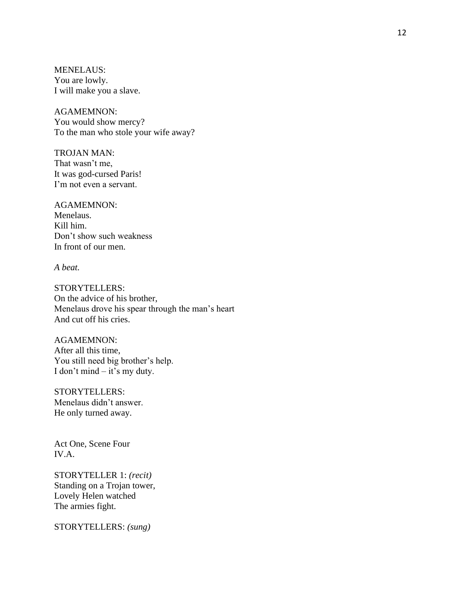MENELAUS: You are lowly. I will make you a slave.

AGAMEMNON: You would show mercy? To the man who stole your wife away?

TROJAN MAN: That wasn't me, It was god-cursed Paris! I'm not even a servant.

AGAMEMNON: Menelaus. Kill him. Don't show such weakness In front of our men.

*A beat.* 

STORYTELLERS: On the advice of his brother, Menelaus drove his spear through the man's heart And cut off his cries.

AGAMEMNON: After all this time, You still need big brother's help. I don't mind – it's my duty.

STORYTELLERS: Menelaus didn't answer. He only turned away.

Act One, Scene Four IV.A.

STORYTELLER 1: *(recit)*  Standing on a Trojan tower, Lovely Helen watched The armies fight.

STORYTELLERS: *(sung)*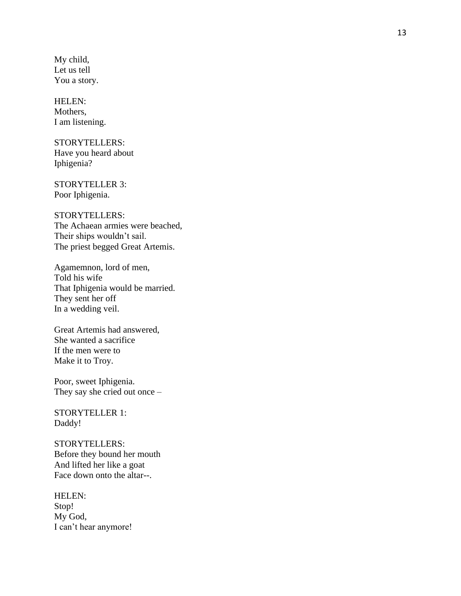My child, Let us tell You a story.

HELEN: Mothers, I am listening.

STORYTELLERS: Have you heard about Iphigenia?

STORYTELLER 3: Poor Iphigenia.

STORYTELLERS: The Achaean armies were beached, Their ships wouldn't sail. The priest begged Great Artemis.

Agamemnon, lord of men, Told his wife That Iphigenia would be married. They sent her off In a wedding veil.

Great Artemis had answered, She wanted a sacrifice If the men were to Make it to Troy.

Poor, sweet Iphigenia. They say she cried out once –

STORYTELLER 1: Daddy !

STORYTELLERS: Before they bound her mouth And lifted her like a goat Face down onto the altar--.

HELEN: Stop! My God, I can't hear anymore!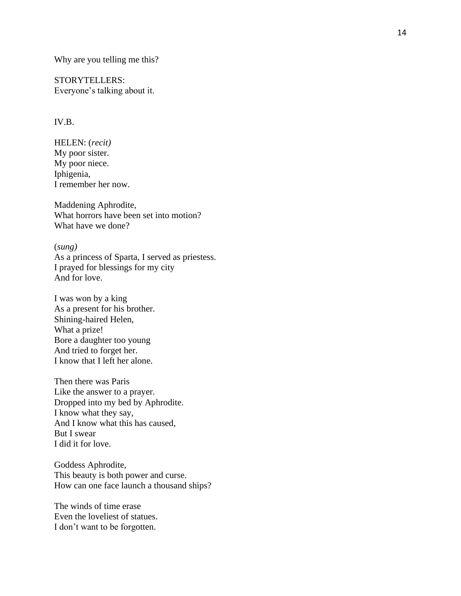Why are you telling me this?

STORYTELLERS: Everyone's talking about it.

## IV.B.

HELEN: (*recit)* My poor sister. My poor niece. Iphigenia, I remember her now.

Maddening Aphrodite, What horrors have been set into motion? What have we done? (*sung)* 

As a princess of Sparta, I served as priestess. I prayed for blessings for my city And for love.

I was won by a king As a present for his brother. Shining -haired Helen, What a prize! Bore a daughter too young And tried to forget her. I know that I left her alone.

Then there was Paris Like the answer to a prayer. Dropped into my bed by Aphrodite. I know what they say, And I know what this has caused, But I swear I did it for love.

Goddess Aphrodite, This beauty is both power and curse. How can one face launch a thousand ships?

The winds of time erase Even the loveliest of statues. I don't want to be forgotten.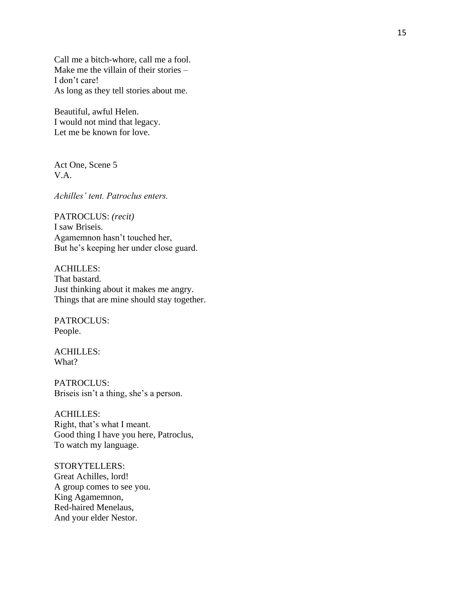Call me a bitch -whore, call me a fool. Make me the villain of their stories – I don't care! As long as they tell stories about me.

Beautiful, awful Helen. I would n ot mind that legacy. Let me be known for love.

Act One, Scene 5 V.A.

*Achilles' tent. Patroclus enters.*

PATROCLUS: *(recit)*  I saw Briseis. Agamemnon hasn't touched her, But he's keeping her under close guard.

ACHILLES: That bastard. Just thinking about it makes me angry. Things that are mine should stay together.

PATROCLUS: People.

ACHILLES: What?

PATROCLUS: Briseis isn't a thing, she's a person.

ACHILLES: Right, that's what I meant. Good thing I have you here, Patroclus, To watch my language.

STORYTELLERS: Great Achilles, lord! A group comes to see you. King Agamemnon, Red -haired Menelaus, And your elder Nestor.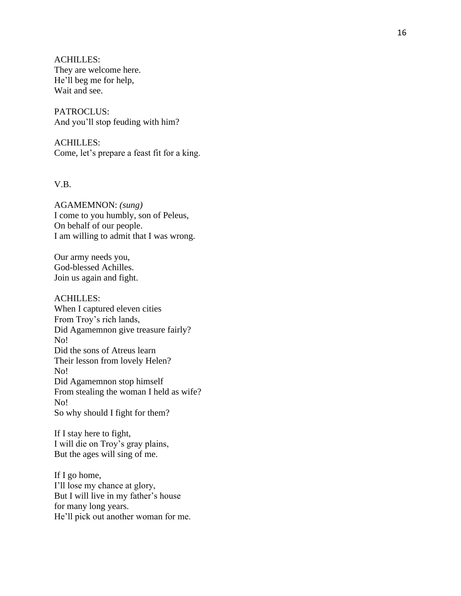ACHILLES: They are welcome here. He'll beg me for help, Wait and see.

PATROCLUS: And you'll stop feuding with him?

ACHILLES: Come, let's prepare a feast fit for a king.

V.B.

AGAMEMNON: *(sung)* I come to you humbly, son of Peleus, On behalf of our people. I am willing to admit that I was wrong.

Our army needs you, God -blessed Achilles. Join us again and fight.

ACHILLES: When I captured eleven cities From Troy's rich lands, Did Agamemnon give treasure fairly? No! Did the sons of Atreus learn Their lesson from lovely Helen? No! Did Agamemnon stop himself From stealing the woman I held as wife? No! So why should I fight for them?

If I stay here to fight, I will die on Troy's gray plains, But the ages will sing of me.

If I go home, I'll lose my chance at glory, But I will live in my father's house fo r many long years. He'll pick out another woman for me.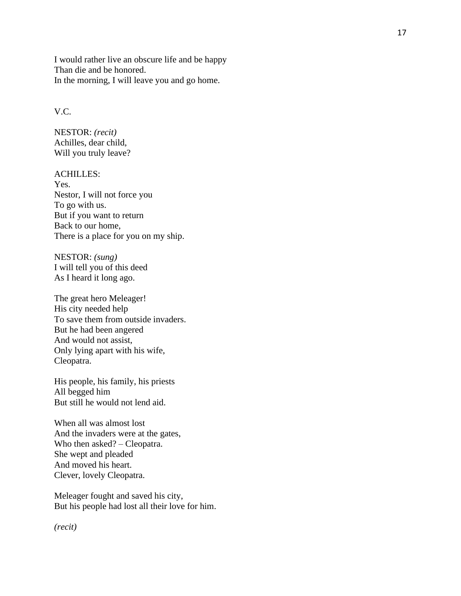I would rather live an obscure life and be happy Than die and be honored. In the morning, I will leave you and go home.

## V.C.

NESTOR: *(recit)*  Achilles, dear child, Will you truly leave?

## ACHILLES:

Yes. Nestor, I will not force you To go with us. But if you want to return Back to our home, There is a place for you on my ship.

NESTOR: *(sung)*  I will tell you of this deed As I heard it long ago. The great hero Meleager!

His city needed help To save them from outside invaders. But he had been angered And would not assist, Only lying apart with his wife, Cleopatra.

His people, his family, his priests All begged him But still he would not lend aid.

When all was almost lost And the invaders were at the gates, Who then asked? – Cleopatra. She wept and pleaded And moved his heart. Clever, lovely Cleopatra.

Meleager fought and saved his city , But his people had lost all their love for him.

*(recit)*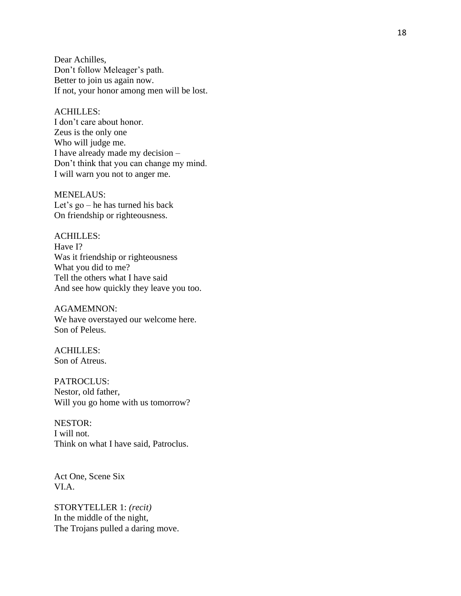Dear Achilles, Don't follow Meleager's path. Better to join us again now. If not, your honor among men will be lost.

#### ACHILLES:

I don't care about honor. Zeus is the only one Who will judge me. I have already made my decision – Don't think that you can change my mind. I will warn you not to anger me.

MENELAUS: Let's go – he has turned his back On friendship or righteousness.

ACHILLES: Have I? Was it friendship or righteousness What you did to me? Tell the others what I have said And see how quickly they leave you too.

AGAMEMNON: We have overstayed our welcome here. Son of Peleus.

ACHILLES: Son of Atreus.

PATROCLUS: Nestor, old father, Will you go home with us tomorrow?

NESTOR: I will not. Think on what I have said, Patroclus.

Act One, Scene Six VI.A.

STORYTELLER 1: *(recit)*  In the middle of the night, The Trojans pulled a daring move.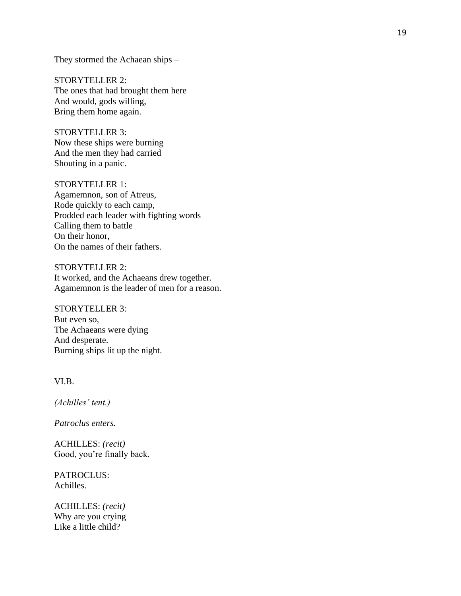They stormed the Achaean ships –

STORYTELLER 2: The ones that had brought them here And would, gods willing, Bring them home again.

STORYTELLER 3: Now these ships were burning And the men they had carried Shouting in a panic.

STORYTELLER 1: Agamemnon, son of Atreus, Rode quickly to each camp, Prodded each leader with fighting words – Calling them to battle On their honor, On the names of their fathers.

STORYTELLER 2: It worked, and the Achaeans drew together. Agamemnon is the leader of men for a reason.

STORYTELLER 3: But even so, The Achaeans were dying And desperate. Burning ships lit up the night.

VI.B.

*(Achilles' tent.)*

*Patroclus enters.* 

ACHILLES: *(recit)*  Good, you're finally back.

PATROCLUS: Achilles.

ACHILLES: *(recit)* Why are you crying Like a little child?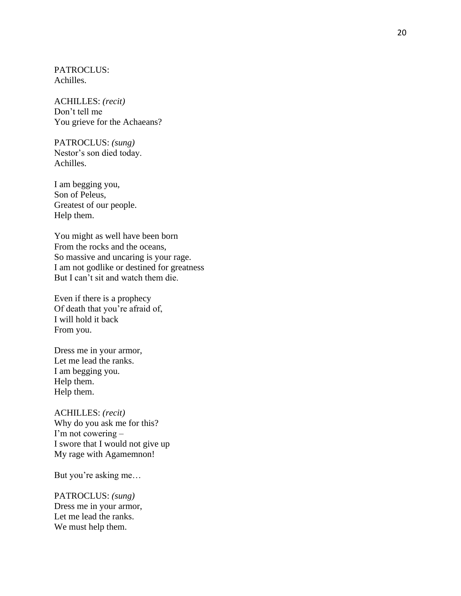PATROCLUS: Achilles.

ACHILLES: *(recit)* Don't tell me You grieve for the Achaeans?

PATROCLUS: *(sung)* Nestor's son died today. Achilles.

I am begging you, Son of Peleus, Greatest of our people. Help them.

You might as well have been born From the rocks and the oceans, So massive and uncaring is your rage. I am not godlike or destined for greatness But I can't sit and watch them die.

Even if there is a prophecy Of death that you're afraid of, I will hold it back From you.

Dress me in your armor, Let me lead the ranks. I am begging you. Help them. Help them.

ACHILLES: *(recit)*  Why do you ask me for this? I'm not cowering – I swore that I would not give up My rage with Agamemnon!

But you're asking me…

PATROCLUS: *(sung)*  Dress me in your armor, Let me lead the ranks. We must help them.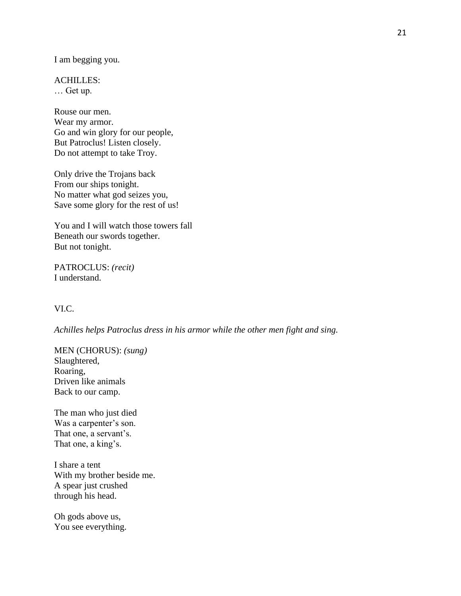I am begging you.

ACHILLES: … Get up.

Rouse our men. Wear my armor. Go and win glory for our people, But Patroclus! Listen closely. Do not attempt to take Troy.

Only drive the Trojans back From our ships tonight. No matter what god seizes you, Save some glory for the rest of us!

You and I will watch those towers fall Beneath our swords together. But not tonight.

PATROCLUS: *(recit)*  I understand.

## VI.C.

*Achilles helps Patroclus dress in his armor while the other men fight and sing.*

MEN (CHORUS): *(sung)*  Slaughtered, Roaring, Driven like animals Back to our camp.

The man who just died Was a carpenter's son. That one, a servant's. That one, a king's.

I share a tent With my brother beside me. A spear just crushed through his head.

Oh gods above us, You see everything.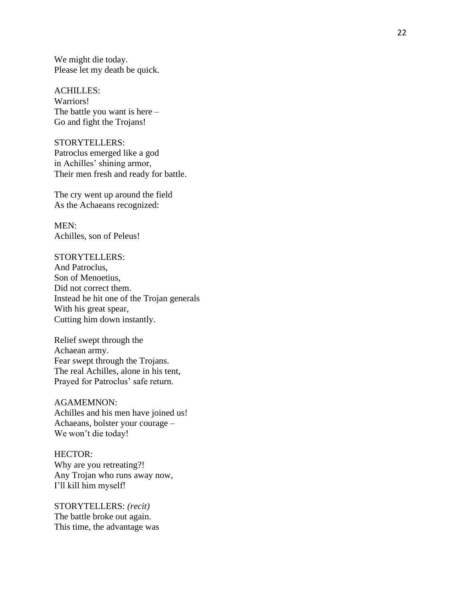We might die today. Please let my death be quick.

ACHILLES: Warriors! The battle you want is here – Go and fight the Trojans!

STORYTELLERS: Patroclus emerged like a god in Achilles' shining armor, Their men fresh and ready for battle.

The cry went up around the field As the Achaeans recognized:

MEN: Achilles, son of Peleus!

STORYTELLERS: And Patroclus, Son of Menoetius, Did not correct them. Instead he hit one of the Trojan generals With his great spear, Cutting him down instantly.

Relief swept through the Achaean army. Fear swept through the Trojans. The real Achilles, alone in his tent, Prayed for Patroclus' safe return.

AGAMEMNON: Achilles and his men have joined us! Achaeans, bolster your courage – We won't die today!

HECTOR: Why are you retreating?! Any Trojan who runs away now, I'll kill him myself!

STORYTELLERS: *(recit)*  The battle broke out again. This time, the advantage was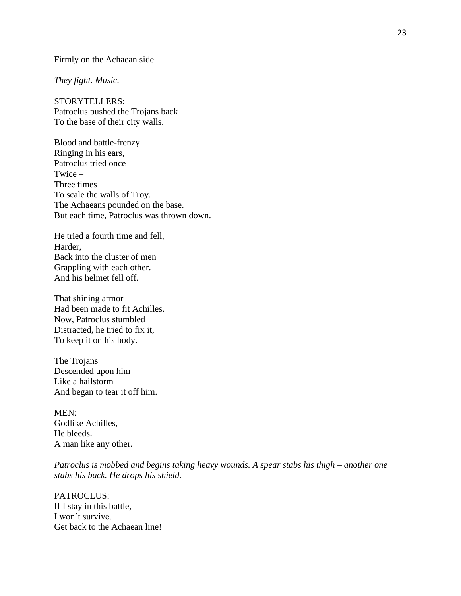Firmly on the Achaean side.

*They fight. Music.*

STORYTELLERS: Patroclus pushed the Trojans back To the base of their city walls.

Blood and battle-frenzy Ringing in his ears, Patroclus tried once – Twice – Three times – To scale the walls of Troy. The Achaeans pounded on the base. But each time, Patroclus was thrown down.

He tried a fourth time and fell, Harder, Back into the cluster of men Grappling with each other. And his helmet fell off.

That shining armor Had been made to fit Achilles. Now, Patroclus stumbled – Distracted, he tried to fix it, To keep it on his body.

The Trojans Descended upon him Like a hailstorm And began to tear it off him.

MEN: Godlike Achilles, He bleeds. A man like any other.

*Patroclus is mobbed and begins taking heavy wounds. A spear stabs his thigh – another one stabs his back. He drops his shield.* 

PATROCLUS: If I stay in this battle, I won't survive. Get back to the Achaean line!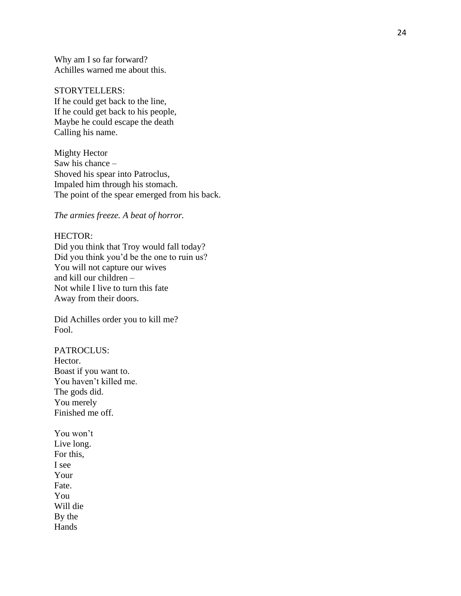Why am I so far forward? Achilles warned me about this.

#### STORYTELLERS:

If he could get back to the line, If he could get back to his people, Maybe he could escape the death Calling his name.

Mighty Hector Saw his chance – Shoved his spear into Patroclus, Impaled him through his stomach. The point of the spear emerged from his back.

*The armies freeze. A beat of horror.*

## HECTOR:

Did you think that Troy would fall today? Did you think you'd be the one to ruin us? You will not capture our wives and kill our children – Not while I live to turn this fate Away from their doors.

Did Achilles order you to kill me? Fool.

PATROCLUS: Hector. Boast if you want to. You haven't killed me. The gods did. You merely Finished me off.

You won't Live long. For this, I see Your Fate. You Will die By the Hands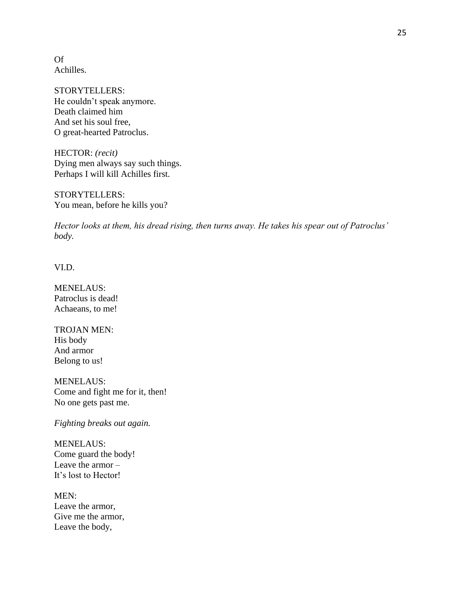Of Achilles.

STORYTELLERS: He couldn't speak anymore. Death claimed him And set his soul free, O great-hearted Patroclus.

HECTOR: *(recit)*  Dying men always say such things. Perhaps I will kill Achilles first.

STORYTELLERS: You mean, before he kills you?

*Hector looks at them, his dread rising, then turns away. He takes his spear out of Patroclus' body.*

VI.D.

MENELAUS: Patroclus is dead! Achaeans, to me!

TROJAN MEN: His body And armor Belong to us!

MENELAUS: Come and fight me for it, then! No one gets past me.

*Fighting breaks out again.* 

MENELAUS: Come guard the body! Leave the armor – It's lost to Hector!

MEN: Leave the armor, Give me the armor, Leave the body,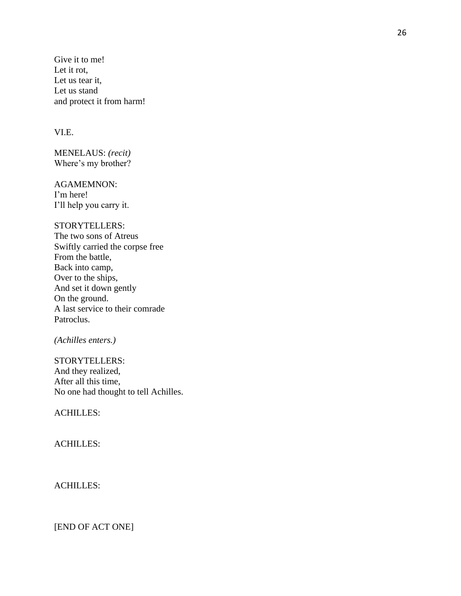Give it to me! Let it rot, Let us tear it, Let us stand and protect it from harm!

## VI.E.

MENELAUS: *(recit)*  Where's my brother?

AGAMEMNON: I'm here! I'll help you carry it.

## STORYTELLERS:

The two sons of Atreus Swiftly carried the corpse free From the battle, Back into camp, Over to the ships, And set it down gently On the ground. A last service to their comrade Patroclus.

*(Achilles enters.)* 

STORYTELLERS: And they realized, After all this time, No one had thought to tell Achilles.

ACHILLES:

## ACHILLES:

# ACHILLES:

[END OF ACT ONE]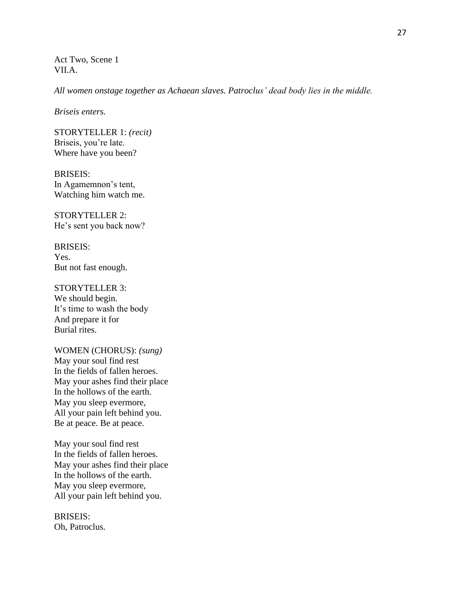Act Two, Scene 1 VII.A.

*All women onstage together as Achaean slaves. Patroclus' dead body lies in the middle.* 

*Briseis enters.* 

STORYTELLER 1: *(recit)*  Briseis, you're late. Where have you been?

BRISEIS: In Agamemnon's tent, Watching him watch me.

STORYTELLER 2: He's sent you back now?

BRISEIS: Yes. But not fast enough.

STORYTELLER 3: We should begin. It's time to wash the body And prepare it for Burial rites.

WOMEN (CHORUS): *(sung)*  May your soul find rest In the fields of fallen heroes. May your ashes find their place In the hollows of the earth. May you sleep evermore, All your pain left behind you. Be at peace. Be at peace.

May your soul find rest In the fields of fallen heroes. May your ashes find their place In the hollows of the earth. May you sleep evermore, All your pain left behind you.

BRISEIS: Oh, Patroclus.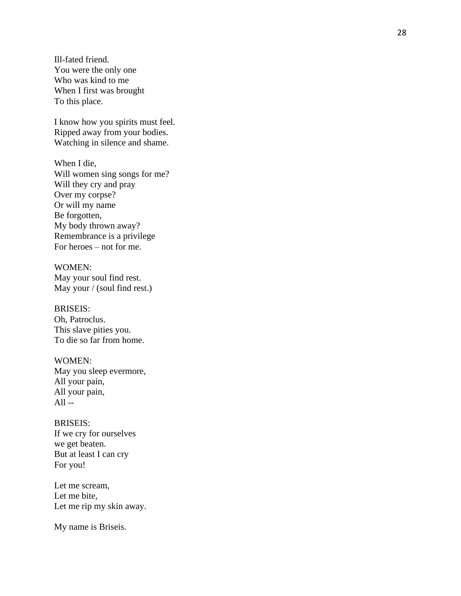Ill -fated friend. You were the only one Who was kind to me When I first was brought To this place.

I know how you spirits must feel. Ripped away from your bodies. Watching in silence and shame.

When I die, Will women sing songs for me? Will they cry and pray Over my corpse? Or will my name Be forgotten, My body thrown away? Remembrance is a privilege For heroes – not for me.

WOMEN: May your soul find rest. May your / (soul find rest.)

BRISEIS: Oh, Patroclus. This slave pities you. To die so far from home.

WOMEN: May you sleep evermore, All your pain, All your pain,  $All -$ 

BRISEIS: If we cry for ourselves we get beaten. But at least I can cry For you!

Let me scream, Let me bite, Let me rip my skin away.

My name is Briseis.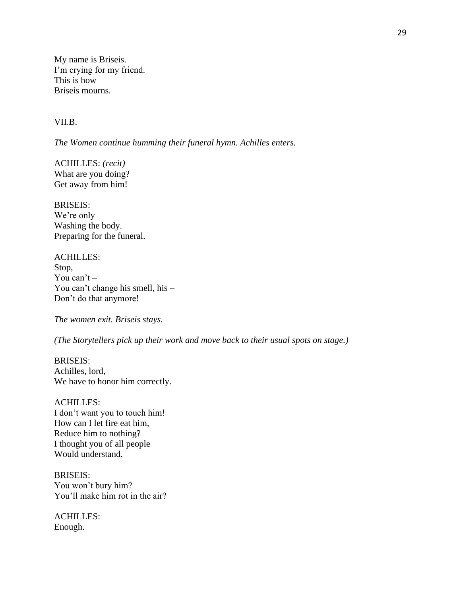My name is Briseis. I'm crying for my friend. This is how Briseis mourns.

### VII.B.

*The Women continue humming their funeral hymn. Achilles enters.* 

ACHILLES: *(recit)*  What are you doing? Get away from him!

BRISEIS: We're only Washing the body. Preparing for the funeral.

ACHILLES: Stop, You can't – You can't change his smell, his – Don't do that anymore!

*The women exit. Briseis stays.* 

*(The Storytellers pick up their work and move back to their usual spots on stage.)* 

BRISEIS: Achilles, lord, We have to honor him correctly.

### ACHILLES:

I don't want you to touch him! How can I let fire eat him, Reduce him to nothing? I thought you of all people Would understand.

BRISEIS: You won't bury him? You'll make him rot in the air?

ACHILLES: Enough.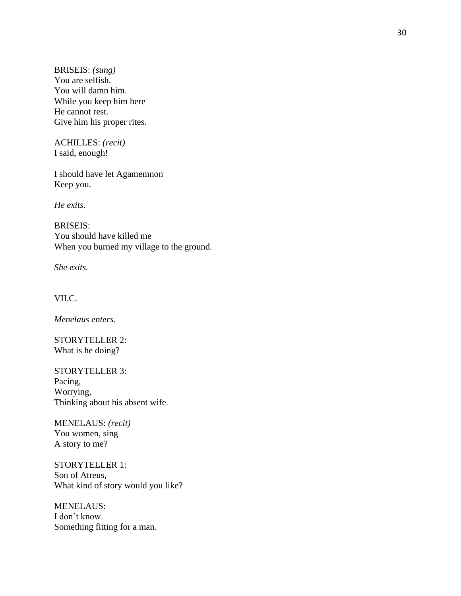BRISEIS: *(sung)*  You are selfish. You will damn him. While you keep him here He cannot rest. Give him his proper rites.

ACHILLES: *(recit)*  I said, enough!

I should have let Agamemnon Keep you.

*He exits.* 

BRISEIS: You should have killed me When you burned my village to the ground.

*She exits.* 

VII.C.

*Menelaus enters.* 

STORYTELLER 2: What is he doing?

STORYTELLER 3: Pacing, Worrying, Thinking about his absent wife.

MENELAUS: *(recit)*  You women, sing A story to me?

STORYTELLER 1: Son of Atreus, What kind of story would you like?

MENELAUS: I don't know. Something fitting for a man.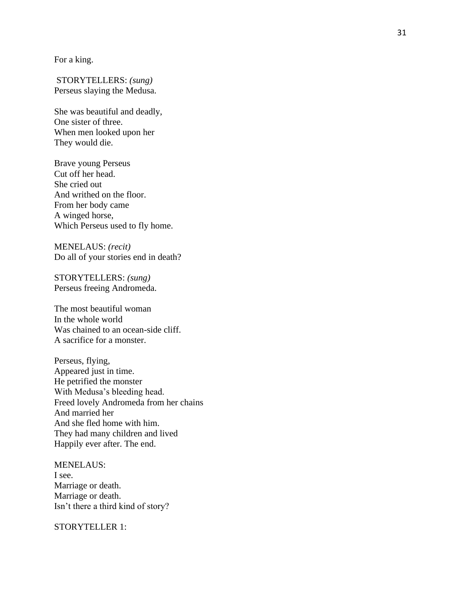For a king.

STORYTELLERS: *(sung)*  Perseus slaying the Medusa.

She was beautiful and deadly, One sister of three. When men looked upon her They would die.

Brave young Perseus Cut off her head. She cried out And writhed on the floor. From her body came A winged horse, Which Perseus used to fly home.

MENELAUS: *(recit)*  Do all of your stories end in death?

STORYTELLERS: *(sung)*  Perseus freeing Andromeda.

The most beautiful woman In the whole world Was chained to an ocean -side cliff. A sacrifice for a monster.

Perseus, flying, Appeared just in time. He petrified the monster With Medusa's bleeding head. Freed lovely Andromeda from her chains And married her And she fled home with him. They had many children and lived Happily ever after. The end.

MENELAUS: I see. Marriage or death. Marriage or death. Isn't there a third kind of story?

STORYTELLER 1: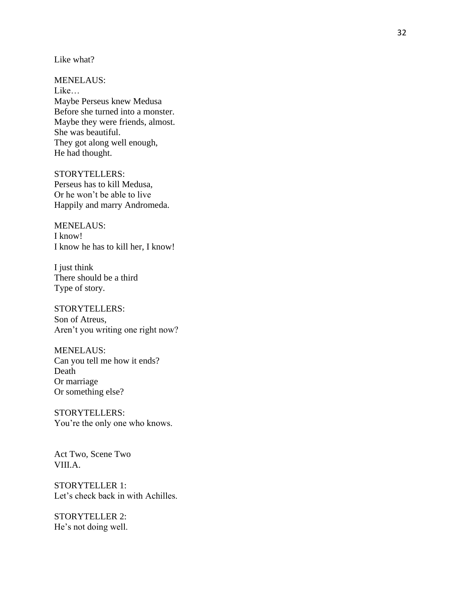Like what?

MENELAUS: Like… Maybe Perseus knew Medusa Before she turned into a monster. Maybe they were friends, almost. She was beautiful. They got along well enough, He had thought.

STORYTELLERS: Perseus has to kill Medusa, Or he won't be able to live Happily and marry Andromeda.

MENELAUS: I know! I know he has to kill her, I know!

I just think There should be a third Type of story.

STORYTELLERS: Son of Atreus, Aren't you writing one right now?

MENELAUS: Can you tell me how it ends? Death Or marriage Or something else?

STORYTELLERS: You're the only one who knows.

Act Two, Scene Two VIII.A.

STORYTELLER 1: Let's check back in with Achilles.

STORYTELLER 2: He's not doing well.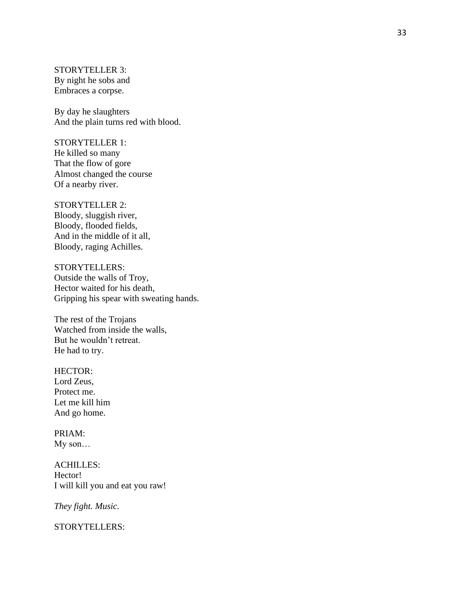STORYTELLER 3: By night he sobs and Embraces a corpse.

By day he slaughters And the plain turns red with blood.

STORYTELLER 1: He killed so many That the flow of gore Almost changed the course Of a nearby river.

STORYTELLER 2: Bloody, sluggish river, Bloody, flooded fields, And in the middle of it all, Bloody, raging Achilles.

STORYTELLERS: Outside the walls of Troy, Hector waited for his death, Gripping his spear with sweating hands.

The rest of the Trojans Watched from inside the walls, But he wouldn't retreat. He had to try.

HECTOR: Lord Zeus, Protect me. Let me kill him And go home.

PRIAM: My son…

ACHILLES: Hector! I will kill you and eat you raw!

*They fight. Music.*

STORYTELLERS: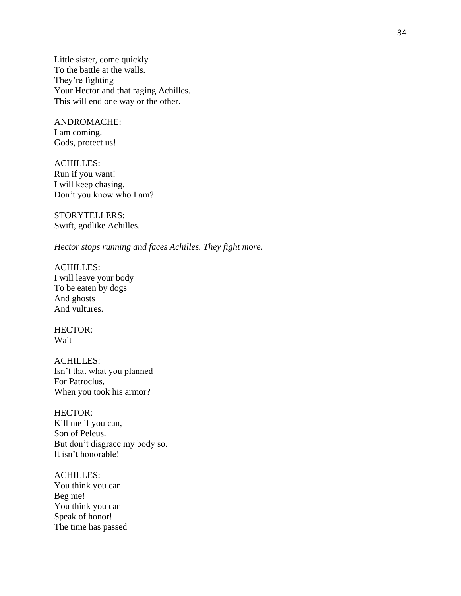Little sister, come quickly To the battle at the walls. They're fighting – Your Hector and that raging Achilles. This will end one way or the other.

ANDROMACHE: I am coming. Gods, protect us!

ACHILLES: Run if you want! I will keep chasing. Don't you know who I am?

STORYTELLERS: Swift, godlike Achilles.

*Hector stops running and faces Achilles. They fight more.* 

ACHILLES: I will leave your body To be eaten by dogs And ghosts And vultures.

HECTOR: Wait –

ACHILLES: Isn't that what you planned For Patroclus, When you took his armor?

HECTOR: Kill me if you can, Son of Peleus. But don't disgrace my body so. It isn't honorable!

ACHILLES: You think you can Beg me! You think you can Speak of honor! The time has passed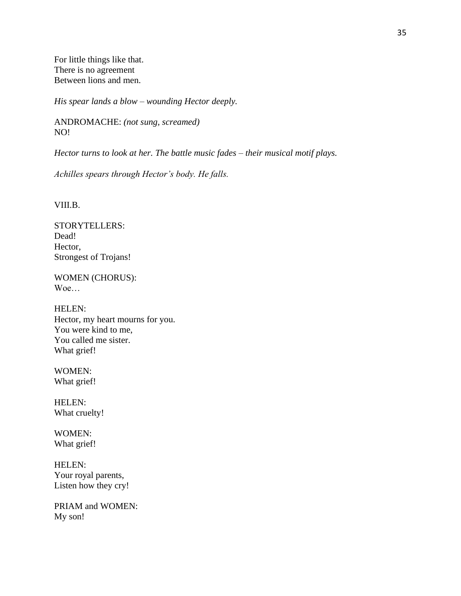For little things like that. There is no agreement Between lions and men.

*His spear lands a blow – wounding Hector deeply.* 

ANDROMACHE: *(not sung, screamed)* NO!

*Hector turns to look at her. The battle music fades – their musical motif plays.* 

*Achilles spears through Hector's body. He falls.*

VIII.B.

STORYTELLERS: Dead! Hector, Strongest of Trojans!

WOMEN (CHORUS): Woe…

HELEN: Hector, my heart mourns for you. You were kind to me, You called me sister. What grief!

WOMEN: What grief!

HELEN: What cruelty!

WOMEN: What grief!

HELEN: Your royal parents, Listen how they cry!

PRIAM and WOMEN: My son!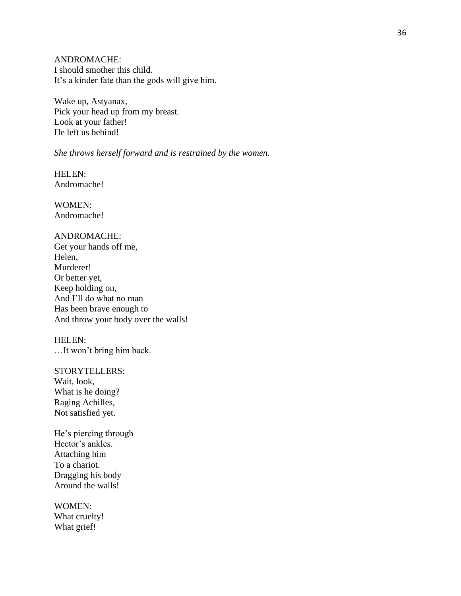ANDROMACHE: I should smother this child. It's a kinder fate than the gods will give him.

Wake up, Astyanax, Pick your head up from my breast. Look at your father! He left us behind!

#### *She throws herself forward and is restrained by the women.*

HELEN: Andromache!

WOMEN: Andromache!

## ANDROMACHE:

Get your hands off me, Helen, Murderer! Or better yet, Keep holding on, And I'll do what no man Has been brave enough to And throw your body over the walls!

# HELEN:

…It won't bring him back.

#### STORYTELLERS:

Wait, look, What is he doing? Raging Achilles, Not satisfied yet.

He's piercing through Hector's ankles. Attaching him To a chariot. Dragging his body Around the walls!

WOMEN: What cruelty! What grief!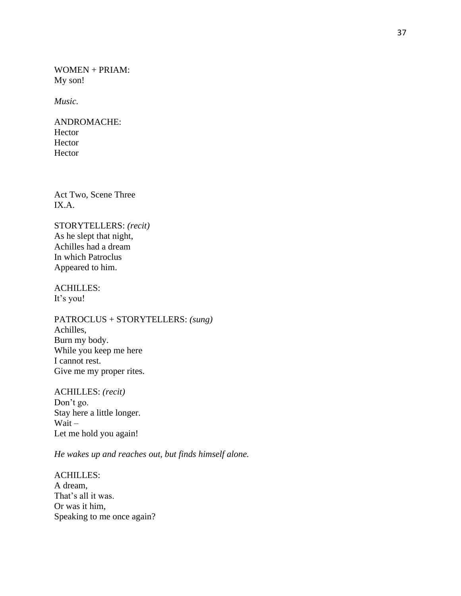WOMEN + PRIAM: My son!

*Music.* 

ANDROMACHE: Hector Hector Hector

Act Two, Scene Three IX.A.

STORYTELLERS: *(recit)*  As he slept that night, Achilles had a dream In which Patroclus Appeared to him.

ACHILLES: It's you!

PATROCLUS + STORYTELLERS: *(sung)*  Achilles, Burn my body. While you keep me here I cannot rest. Give me my proper rites.

ACHILLES: *(recit)*  Don't go. Stay here a little longer. Wait – Let me hold you again!

*He wakes up and reaches out, but finds himself alone.* 

ACHILLES: A dream, That's all it was. Or was it him, Speaking to me once again?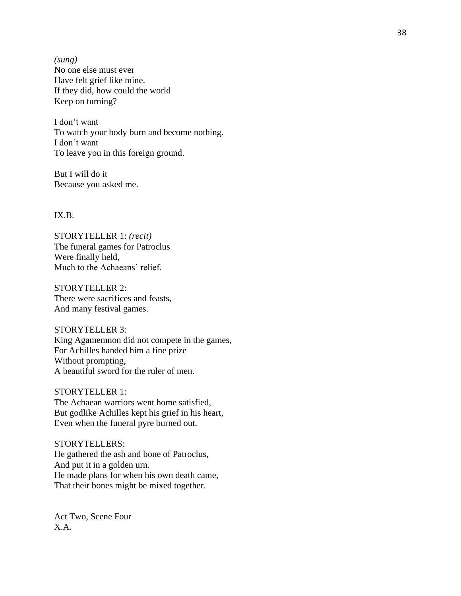*(sung)*  No one else must ever Have felt grief like mine. If they did, how could the world Keep on turning?

I don't want To watch your body burn and become nothing. I don't want To leave you in this foreign ground.

But I will do it Because you asked me.

IX.B.

STORYTELLER 1: *(recit)*  The funeral games for Patroclus Were finally held, Much to the Achaeans' relief.

STORYTELLER 2: There were sacrifices and feasts, And many festival games.

STORYTELLER 3: King Agamemnon did not compete in the games, For Achilles handed him a fine prize Without prompting, A beautiful sword for the ruler of men.

STORYTELLER 1: The Achaean warriors went home satisfied, But godlike Achilles kept his grief in his heart, Even when the funeral pyre burned out.

STORYTELLER S: He gathered the ash and bone of Patroclus, And put it in a golden urn. He made plans for when his own death came, That their bones might be mixed together.

Act Two, Scene Four X.A.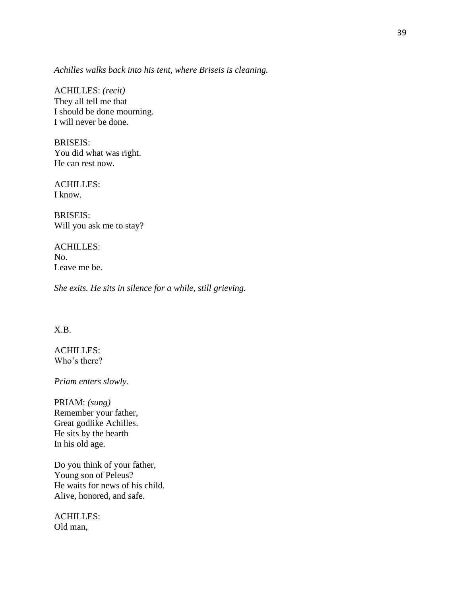*Achilles walks back into his tent, where Briseis is cleaning.* 

ACHILLES: *(recit)*  They all tell me that I should be done mourning. I will never be done.

BRISEIS: You did what was right. He can rest now.

ACHILLES: I know.

BRISEIS: Will you ask me to stay?

ACHILLES: No. Leave me be.

*She exits. He sits in silence for a while, still grieving.* 

# X.B.

ACHILLES: Who's there?

*Priam enters slowly.* 

PRIAM: *(sung)*  Remember your father, Great godlike Achilles. He sits by the hearth In his old age.

Do you think of your father, Young son of Peleus? He waits for news of his child. Alive, honored, and safe.

ACHILLES: Old man,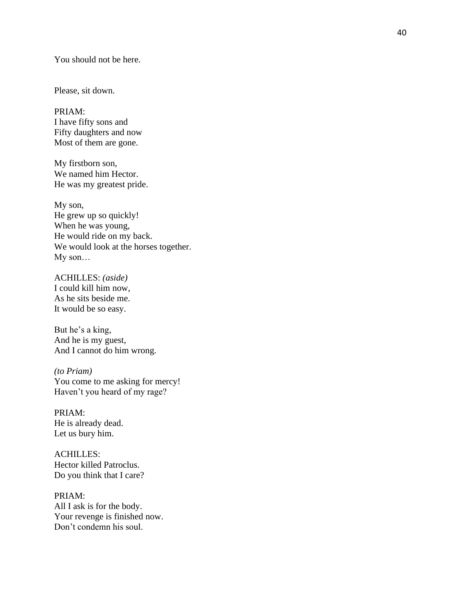You should not be here.

Please, sit down.

PRIAM: I have fifty sons and Fifty daughters and now Most of them are gone.

My firstborn son, We named him Hector. He was my greatest pride.

My son, He grew up so quickly! When he was young, He would ride on my back. We would look at the horses together. My son…

ACHILLES: *(aside)*  I could kill him now, As he sits beside me. It would be so easy.

But he's a king, And he is my guest, And I cannot do him wrong.

*(to Priam)*  You come to me asking for mercy! Haven't you heard of my rage?

PRIAM: He is already dead. Let us bury him.

ACHILLES: Hector killed Patroclus. Do you think that I care?

PRIAM: All I ask is for the body. Your revenge is finished now. Don't condemn his soul.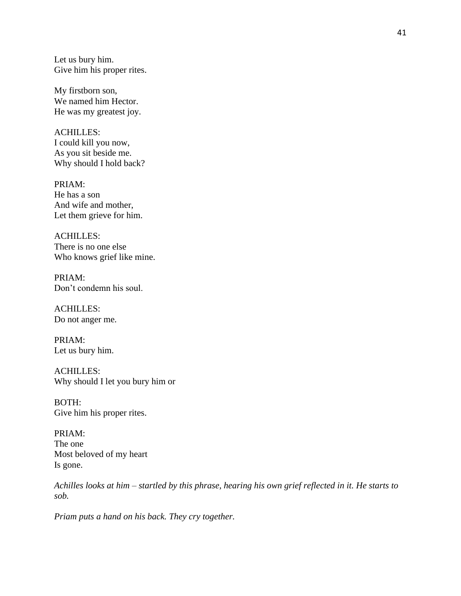Let us bury him. Give him his proper rites.

My firstborn son, We named him Hector. He was my greatest joy.

ACHILLES: I could kill you now, As you sit beside me. Why should I hold back?

PRIAM: He has a son And wife and mother, Let them grieve for him.

ACHILLES: There is no one else Who knows grief like mine.

PRIAM: Don't condemn his soul.

ACHILLES: Do not anger me.

PRIAM: Let us bury him.

ACHILLES: Why should I let you bury him or

BOTH: Give him his proper rites.

PRIAM: The one Most beloved of my heart Is gone.

*Achilles looks at him – startled by this phrase, hearing his own grief reflected in it. He starts to sob.* 

*Priam puts a hand on his back. They cry together.*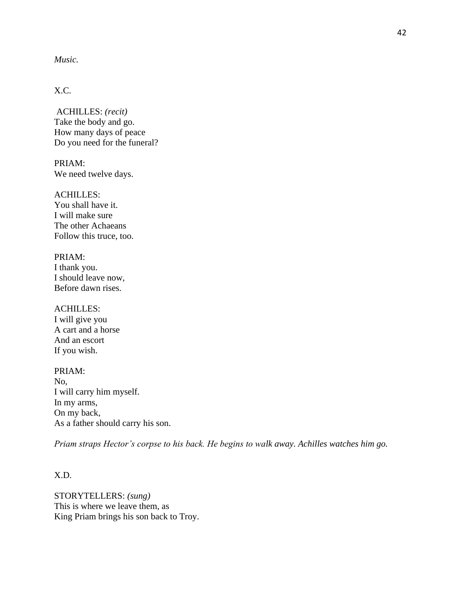## *Music.*

# X.C.

ACHILLES: *(recit)*  Take the body and go. How many days of peace Do you need for the funeral?

PRIAM: We need twelve days.

ACHILLES: You shall have it. I will make sure The other Achaeans Follow this truce, too.

## PRIAM: I thank you. I should leave now, Before dawn rises.

ACHILLES: I will give you A cart and a horse And an escort If you wish.

PRIAM: No, I will carry him myself. In my arms, On my back, As a father should carry his son.

*Priam straps Hector's corpse to his back. He begins to walk away. Achilles watches him go.* 

## X.D.

STORYTELLERS: *(sung)*  This is where we leave them, as King Priam brings his son back to Troy.